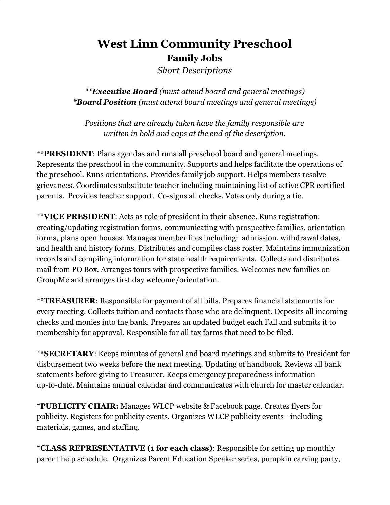## **West Linn Community Preschool Family Jobs** *Short Descriptions*

*\*\*Executive Board (must attend board and general meetings) \*Board Position (must attend board meetings and general meetings)*

*Positions that are already taken have the family responsible are written in bold and caps at the end of the description.*

\*\***PRESIDENT**: Plans agendas and runs all preschool board and general meetings. Represents the preschool in the community. Supports and helps facilitate the operations of the preschool. Runs orientations. Provides family job support. Helps members resolve grievances. Coordinates substitute teacher including maintaining list of active CPR certified parents. Provides teacher support. Co-signs all checks. Votes only during a tie.

\*\***VICE PRESIDENT**: Acts as role of president in their absence. Runs registration: creating/updating registration forms, communicating with prospective families, orientation forms, plans open houses. Manages member files including: admission, withdrawal dates, and health and history forms. Distributes and compiles class roster. Maintains immunization records and compiling information for state health requirements. Collects and distributes mail from PO Box. Arranges tours with prospective families. Welcomes new families on GroupMe and arranges first day welcome/orientation.

\*\***TREASURER**: Responsible for payment of all bills. Prepares financial statements for every meeting. Collects tuition and contacts those who are delinquent. Deposits all incoming checks and monies into the bank. Prepares an updated budget each Fall and submits it to membership for approval. Responsible for all tax forms that need to be filed.

\*\***SECRETARY**: Keeps minutes of general and board meetings and submits to President for disbursement two weeks before the next meeting. Updating of handbook. Reviews all bank statements before giving to Treasurer. Keeps emergency preparedness information up-to-date. Maintains annual calendar and communicates with church for master calendar.

**\*PUBLICITY CHAIR:** Manages WLCP website & Facebook page. Creates flyers for publicity. Registers for publicity events. Organizes WLCP publicity events - including materials, games, and staffing.

**\*CLASS REPRESENTATIVE (1 for each class)**: Responsible for setting up monthly parent help schedule. Organizes Parent Education Speaker series, pumpkin carving party,